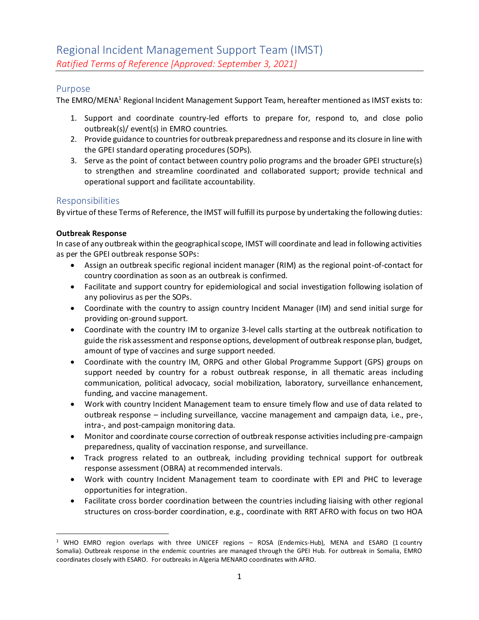# Purpose

The EMRO/MENA<sup>1</sup> Regional Incident Management Support Team, hereafter mentioned as IMST exists to:

- 1. Support and coordinate country-led efforts to prepare for, respond to, and close polio outbreak(s)/ event(s) in EMRO countries.
- 2. Provide guidance to countries for outbreak preparedness and response and its closure in line with the GPEI standard operating procedures (SOPs).
- 3. Serve as the point of contact between country polio programs and the broader GPEI structure(s) to strengthen and streamline coordinated and collaborated support; provide technical and operational support and facilitate accountability.

## Responsibilities

By virtue of these Terms of Reference, the IMST will fulfill its purpose by undertaking the following duties:

#### **Outbreak Response**

In case of any outbreak within the geographical scope, IMST will coordinate and lead in following activities as per the GPEI outbreak response SOPs:

- Assign an outbreak specific regional incident manager (RIM) as the regional point-of-contact for country coordination as soon as an outbreak is confirmed.
- Facilitate and support country for epidemiological and social investigation following isolation of any poliovirus as per the SOPs.
- Coordinate with the country to assign country Incident Manager (IM) and send initial surge for providing on-ground support.
- Coordinate with the country IM to organize 3-level calls starting at the outbreak notification to guide the risk assessment and response options, development of outbreak response plan, budget, amount of type of vaccines and surge support needed.
- Coordinate with the country IM, ORPG and other Global Programme Support (GPS) groups on support needed by country for a robust outbreak response, in all thematic areas including communication, political advocacy, social mobilization, laboratory, surveillance enhancement, funding, and vaccine management.
- Work with country Incident Management team to ensure timely flow and use of data related to outbreak response – including surveillance, vaccine management and campaign data, i.e., pre-, intra-, and post-campaign monitoring data.
- Monitor and coordinate course correction of outbreak response activities including pre-campaign preparedness, quality of vaccination response, and surveillance.
- Track progress related to an outbreak, including providing technical support for outbreak response assessment (OBRA) at recommended intervals.
- Work with country Incident Management team to coordinate with EPI and PHC to leverage opportunities for integration.
- Facilitate cross border coordination between the countries including liaising with other regional structures on cross-border coordination, e.g., coordinate with RRT AFRO with focus on two HOA

<sup>&</sup>lt;sup>1</sup> WHO EMRO region overlaps with three UNICEF regions - ROSA (Endemics-Hub), MENA and ESARO (1 country Somalia). Outbreak response in the endemic countries are managed through the GPEI Hub. For outbreak in Somalia, EMRO coordinates closely with ESARO. For outbreaks in Algeria MENARO coordinates with AFRO.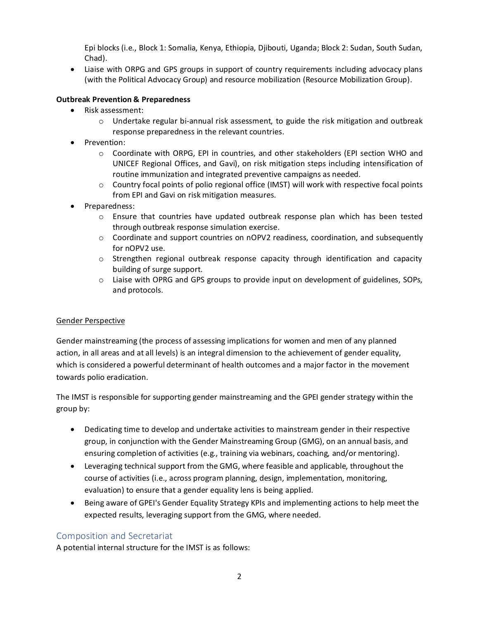Epi blocks (i.e., Block 1: Somalia, Kenya, Ethiopia, Djibouti, Uganda; Block 2: Sudan, South Sudan, Chad).

• Liaise with ORPG and GPS groups in support of country requirements including advocacy plans (with the Political Advocacy Group) and resource mobilization (Resource Mobilization Group).

# **Outbreak Prevention & Preparedness**

- Risk assessment:
	- $\circ$  Undertake regular bi-annual risk assessment, to guide the risk mitigation and outbreak response preparedness in the relevant countries.
- Prevention:
	- o Coordinate with ORPG, EPI in countries, and other stakeholders (EPI section WHO and UNICEF Regional Offices, and Gavi), on risk mitigation steps including intensification of routine immunization and integrated preventive campaigns as needed.
	- o Country focal points of polio regional office (IMST) will work with respective focal points from EPI and Gavi on risk mitigation measures.
- Preparedness:
	- o Ensure that countries have updated outbreak response plan which has been tested through outbreak response simulation exercise.
	- $\circ$  Coordinate and support countries on nOPV2 readiness, coordination, and subsequently for nOPV2 use.
	- $\circ$  Strengthen regional outbreak response capacity through identification and capacity building of surge support.
	- $\circ$  Liaise with OPRG and GPS groups to provide input on development of guidelines, SOPs, and protocols.

#### Gender Perspective

Gender mainstreaming (the process of assessing implications for women and men of any planned action, in all areas and at all levels) is an integral dimension to the achievement of gender equality, which is considered a powerful determinant of health outcomes and a major factor in the movement towards polio eradication.

The IMST is responsible for supporting gender mainstreaming and the GPEI gender strategy within the group by:

- Dedicating time to develop and undertake activities to mainstream gender in their respective group, in conjunction with the Gender Mainstreaming Group (GMG), on an annual basis, and ensuring completion of activities (e.g., training via webinars, coaching, and/or mentoring).
- Leveraging technical support from the GMG, where feasible and applicable, throughout the course of activities (i.e., across program planning, design, implementation, monitoring, evaluation) to ensure that a gender equality lens is being applied.
- Being aware of GPEI's Gender Equality Strategy KPIs and implementing actions to help meet the expected results, leveraging support from the GMG, where needed.

# Composition and Secretariat

A potential internal structure for the IMST is as follows: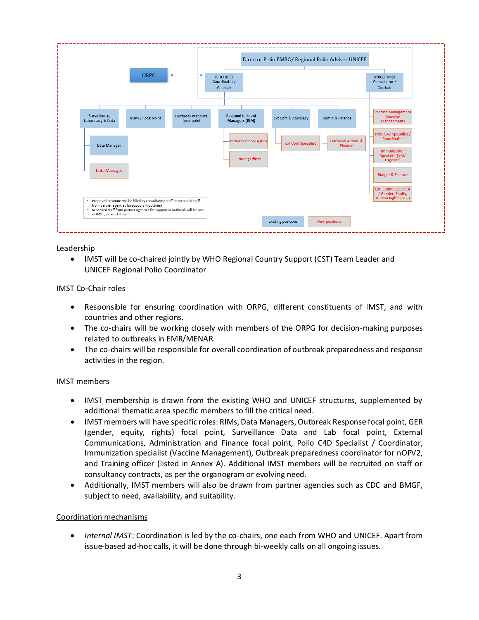

#### Leadership

• IMST will be co-chaired jointly by WHO Regional Country Support (CST) Team Leader and UNICEF Regional Polio Coordinator

#### IMST Co-Chair roles

- Responsible for ensuring coordination with ORPG, different constituents of IMST, and with countries and other regions.
- The co-chairs will be working closely with members of the ORPG for decision-making purposes related to outbreaks in EMR/MENAR.
- The co-chairs will be responsible for overall coordination of outbreak preparedness and response activities in the region.

#### IMST members

- IMST membership is drawn from the existing WHO and UNICEF structures, supplemented by additional thematic area specific members to fill the critical need.
- IMST members will have specific roles: RIMs, Data Managers, Outbreak Response focal point, GER (gender, equity, rights) focal point, Surveillance Data and Lab focal point, External Communications, Administration and Finance focal point, Polio C4D Specialist / Coordinator, Immunization specialist (Vaccine Management), Outbreak preparedness coordinator for nOPV2, and Training officer (listed in Annex A). Additional IMST members will be recruited on staff or consultancy contracts, as per the organogram or evolving need.
- Additionally, IMST members will also be drawn from partner agencies such as CDC and BMGF, subject to need, availability, and suitability.

#### Coordination mechanisms

• *Internal IMST*: Coordination is led by the co-chairs, one each from WHO and UNICEF. Apart from issue-based ad-hoc calls, it will be done through bi-weekly calls on all ongoing issues.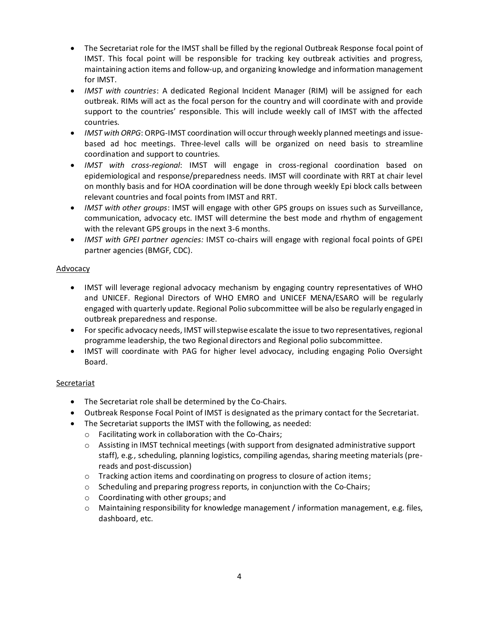- The Secretariat role for the IMST shall be filled by the regional Outbreak Response focal point of IMST. This focal point will be responsible for tracking key outbreak activities and progress, maintaining action items and follow-up, and organizing knowledge and information management for IMST.
- *IMST with countries*: A dedicated Regional Incident Manager (RIM) will be assigned for each outbreak. RIMs will act as the focal person for the country and will coordinate with and provide support to the countries' responsible. This will include weekly call of IMST with the affected countries.
- *IMST with ORPG*: ORPG-IMST coordination will occur through weekly planned meetings and issuebased ad hoc meetings. Three-level calls will be organized on need basis to streamline coordination and support to countries.
- *IMST with cross-regional*: IMST will engage in cross-regional coordination based on epidemiological and response/preparedness needs. IMST will coordinate with RRT at chair level on monthly basis and for HOA coordination will be done through weekly Epi block calls between relevant countries and focal points from IMST and RRT.
- *IMST with other groups*: IMST will engage with other GPS groups on issues such as Surveillance, communication, advocacy etc. IMST will determine the best mode and rhythm of engagement with the relevant GPS groups in the next 3-6 months.
- *IMST with GPEI partner agencies:* IMST co-chairs will engage with regional focal points of GPEI partner agencies (BMGF, CDC).

# Advocacy

- IMST will leverage regional advocacy mechanism by engaging country representatives of WHO and UNICEF. Regional Directors of WHO EMRO and UNICEF MENA/ESARO will be regularly engaged with quarterly update. Regional Polio subcommittee will be also be regularly engaged in outbreak preparedness and response.
- For specific advocacy needs, IMST will stepwise escalate the issue to two representatives, regional programme leadership, the two Regional directors and Regional polio subcommittee.
- IMST will coordinate with PAG for higher level advocacy, including engaging Polio Oversight Board.

# **Secretariat**

- The Secretariat role shall be determined by the Co-Chairs.
- Outbreak Response Focal Point of IMST is designated as the primary contact for the Secretariat.
- The Secretariat supports the IMST with the following, as needed:
	- o Facilitating work in collaboration with the Co-Chairs;
	- $\circ$  Assisting in IMST technical meetings (with support from designated administrative support staff), e.g., scheduling, planning logistics, compiling agendas, sharing meeting materials (prereads and post-discussion)
	- o Tracking action items and coordinating on progress to closure of action items;
	- o Scheduling and preparing progress reports, in conjunction with the Co-Chairs;
	- o Coordinating with other groups; and
	- o Maintaining responsibility for knowledge management / information management, e.g. files, dashboard, etc.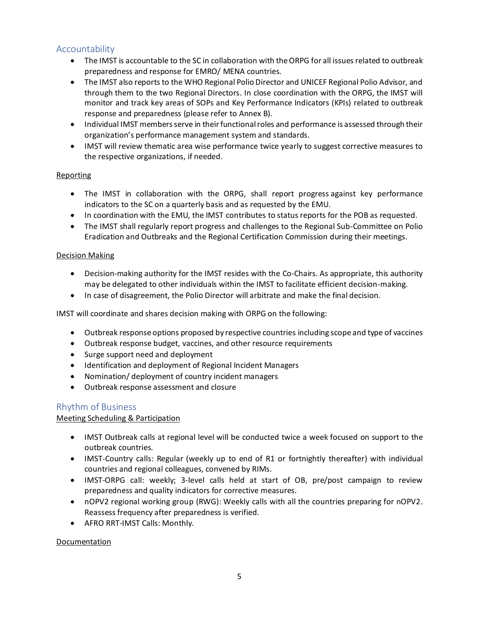# Accountability

- The IMST is accountable to the SC in collaboration with the ORPG for all issues related to outbreak preparedness and response for EMRO/ MENA countries.
- The IMST also reports to the WHO Regional Polio Director and UNICEF Regional Polio Advisor, and through them to the two Regional Directors. In close coordination with the ORPG, the IMST will monitor and track key areas of SOPs and Key Performance Indicators (KPIs) related to outbreak response and preparedness (please refer to Annex B).
- Individual IMST members serve in their functional roles and performance is assessed through their organization's performance management system and standards.
- IMST will review thematic area wise performance twice yearly to suggest corrective measures to the respective organizations, if needed.

## Reporting

- The IMST in collaboration with the ORPG, shall report progress against key performance indicators to the SC on a quarterly basis and as requested by the EMU.
- In coordination with the EMU, the IMST contributes to status reports for the POB as requested.
- The IMST shall regularly report progress and challenges to the Regional Sub-Committee on Polio Eradication and Outbreaks and the Regional Certification Commission during their meetings.

## Decision Making

- Decision-making authority for the IMST resides with the Co-Chairs. As appropriate, this authority may be delegated to other individuals within the IMST to facilitate efficient decision-making.
- In case of disagreement, the Polio Director will arbitrate and make the final decision.

IMST will coordinate and shares decision making with ORPG on the following:

- Outbreak response options proposed by respective countries including scope and type of vaccines
- Outbreak response budget, vaccines, and other resource requirements
- Surge support need and deployment
- Identification and deployment of Regional Incident Managers
- Nomination/ deployment of country incident managers
- Outbreak response assessment and closure

# Rhythm of Business

# Meeting Scheduling & Participation

- IMST Outbreak calls at regional level will be conducted twice a week focused on support to the outbreak countries.
- IMST-Country calls: Regular (weekly up to end of R1 or fortnightly thereafter) with individual countries and regional colleagues, convened by RIMs.
- IMST-ORPG call: weekly; 3-level calls held at start of OB, pre/post campaign to review preparedness and quality indicators for corrective measures.
- nOPV2 regional working group (RWG): Weekly calls with all the countries preparing for nOPV2. Reassess frequency after preparedness is verified.
- AFRO RRT-IMST Calls: Monthly.

#### Documentation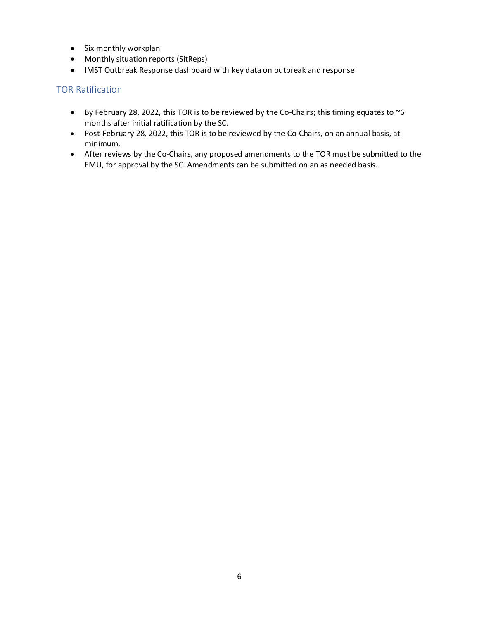- Six monthly workplan
- Monthly situation reports (SitReps)
- IMST Outbreak Response dashboard with key data on outbreak and response

# TOR Ratification

- By February 28, 2022, this TOR is to be reviewed by the Co-Chairs; this timing equates to  $\sim$ 6 months after initial ratification by the SC.
- Post-February 28, 2022, this TOR is to be reviewed by the Co-Chairs, on an annual basis, at minimum.
- After reviews by the Co-Chairs, any proposed amendments to the TOR must be submitted to the EMU, for approval by the SC. Amendments can be submitted on an as needed basis.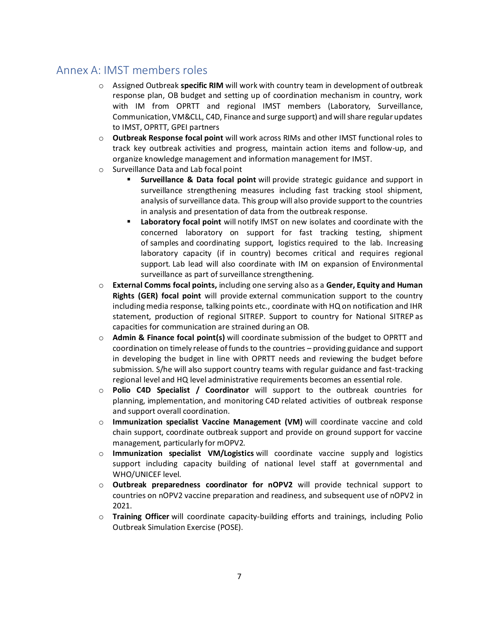# Annex A: IMST members roles

- o Assigned Outbreak **specific RIM** will work with country team in development of outbreak response plan, OB budget and setting up of coordination mechanism in country, work with IM from OPRTT and regional IMST members (Laboratory, Surveillance, Communication, VM&CLL, C4D, Finance and surge support) and will share regular updates to IMST, OPRTT, GPEI partners
- o **Outbreak Response focal point** will work across RIMs and other IMST functional roles to track key outbreak activities and progress, maintain action items and follow-up, and organize knowledge management and information management for IMST.
- o Surveillance Data and Lab focal point
	- **Surveillance & Data focal point** will provide strategic guidance and support in surveillance strengthening measures including fast tracking stool shipment, analysis of surveillance data. This group will also provide support to the countries in analysis and presentation of data from the outbreak response.
	- **Laboratory focal point** will notify IMST on new isolates and coordinate with the concerned laboratory on support for fast tracking testing, shipment of samples and coordinating support, logistics required to the lab. Increasing laboratory capacity (if in country) becomes critical and requires regional support. Lab lead will also coordinate with IM on expansion of Environmental surveillance as part of surveillance strengthening.
- o **External Comms focal points,** including one serving also as a **Gender, Equity and Human Rights (GER) focal point** will provide external communication support to the country including media response, talking points etc., coordinate with HQ on notification and IHR statement, production of regional SITREP. Support to country for National SITREP as capacities for communication are strained during an OB.
- o **Admin & Finance focal point(s)** will coordinate submission of the budget to OPRTT and coordination on timely release of funds to the countries – providing guidance and support in developing the budget in line with OPRTT needs and reviewing the budget before submission. S/he will also support country teams with regular guidance and fast-tracking regional level and HQ level administrative requirements becomes an essential role.
- o **Polio C4D Specialist / Coordinator** will support to the outbreak countries for planning, implementation, and monitoring C4D related activities of outbreak response and support overall coordination.
- o **Immunization specialist Vaccine Management (VM)** will coordinate vaccine and cold chain support, coordinate outbreak support and provide on ground support for vaccine management, particularly for mOPV2.
- o **Immunization specialist VM/Logistics** will coordinate vaccine supply and logistics support including capacity building of national level staff at governmental and WHO/UNICEF level.
- o **Outbreak preparedness coordinator for nOPV2** will provide technical support to countries on nOPV2 vaccine preparation and readiness, and subsequent use of nOPV2 in 2021.
- o **Training Officer** will coordinate capacity-building efforts and trainings, including Polio Outbreak Simulation Exercise (POSE).